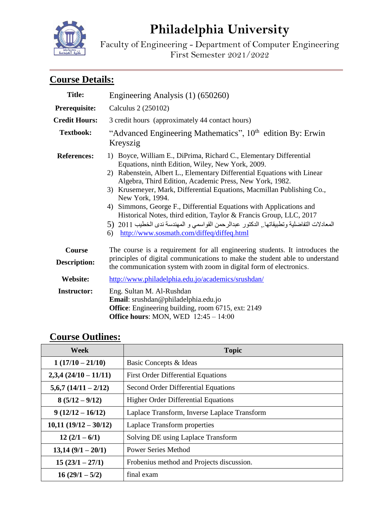# **Philadelphia University**

Faculty of Engineering - Department of Computer Engineering First Semester 2021/2022

## **Course Details:**

| <b>Title:</b>                 | Engineering Analysis (1) (650260)                                                                                                                                                                                                                                                                                                                                                                                                                                                                                                                                                                                                                      |  |  |
|-------------------------------|--------------------------------------------------------------------------------------------------------------------------------------------------------------------------------------------------------------------------------------------------------------------------------------------------------------------------------------------------------------------------------------------------------------------------------------------------------------------------------------------------------------------------------------------------------------------------------------------------------------------------------------------------------|--|--|
| Prerequisite:                 | Calculus 2 (250102)                                                                                                                                                                                                                                                                                                                                                                                                                                                                                                                                                                                                                                    |  |  |
| <b>Credit Hours:</b>          | 3 credit hours (approximately 44 contact hours)                                                                                                                                                                                                                                                                                                                                                                                                                                                                                                                                                                                                        |  |  |
| <b>Textbook:</b>              | "Advanced Engineering Mathematics", 10 <sup>th</sup> edition By: Erwin<br>Kreyszig                                                                                                                                                                                                                                                                                                                                                                                                                                                                                                                                                                     |  |  |
| <b>References:</b>            | 1) Boyce, William E., DiPrima, Richard C., Elementary Differential<br>Equations, ninth Edition, Wiley, New York, 2009.<br>2) Rabenstein, Albert L., Elementary Differential Equations with Linear<br>Algebra, Third Edition, Academic Press, New York, 1982.<br>3) Krusemeyer, Mark, Differential Equations, Macmillan Publishing Co.,<br>New York, 1994.<br>4) Simmons, George F., Differential Equations with Applications and<br>Historical Notes, third edition, Taylor & Francis Group, LLC, 2017<br>المعادلات التفاضلية وتطبيقاتها , الدكتور عبدالرحمن القواسمي و المهندسة ندى الخطيب 2011 (5<br>http://www.sosmath.com/diffeq/diffeq.html<br>6) |  |  |
| Course<br><b>Description:</b> | The course is a requirement for all engineering students. It introduces the<br>principles of digital communications to make the student able to understand<br>the communication system with zoom in digital form of electronics.                                                                                                                                                                                                                                                                                                                                                                                                                       |  |  |
| <b>Website:</b>               | http://www.philadelphia.edu.jo/academics/srushdan/                                                                                                                                                                                                                                                                                                                                                                                                                                                                                                                                                                                                     |  |  |
| <b>Instructor:</b>            | Eng. Sultan M. Al-Rushdan<br>Email: srushdan@philadelphia.edu.jo<br><b>Office:</b> Engineering building, room 6715, ext: 2149<br>Office hours: MON, WED $12:45 - 14:00$                                                                                                                                                                                                                                                                                                                                                                                                                                                                                |  |  |

### **Course Outlines:**

| <b>Week</b>           | <b>Topic</b>                                 |  |  |
|-----------------------|----------------------------------------------|--|--|
| $1(17/10-21/10)$      | Basic Concepts & Ideas                       |  |  |
| $2,3,4(24/10-11/11)$  | <b>First Order Differential Equations</b>    |  |  |
| $5,6,7(14/11 - 2/12)$ | Second Order Differential Equations          |  |  |
| $8(5/12-9/12)$        | <b>Higher Order Differential Equations</b>   |  |  |
| $9(12/12 - 16/12)$    | Laplace Transform, Inverse Laplace Transform |  |  |
| $10,11(19/12-30/12)$  | Laplace Transform properties                 |  |  |
| $12(2/1-6/1)$         | Solving DE using Laplace Transform           |  |  |
| $13,14(9/1-20/1)$     | <b>Power Series Method</b>                   |  |  |
| $15(23/1-27/1)$       | Frobenius method and Projects discussion.    |  |  |
| $16(29/1 - 5/2)$      | final exam                                   |  |  |